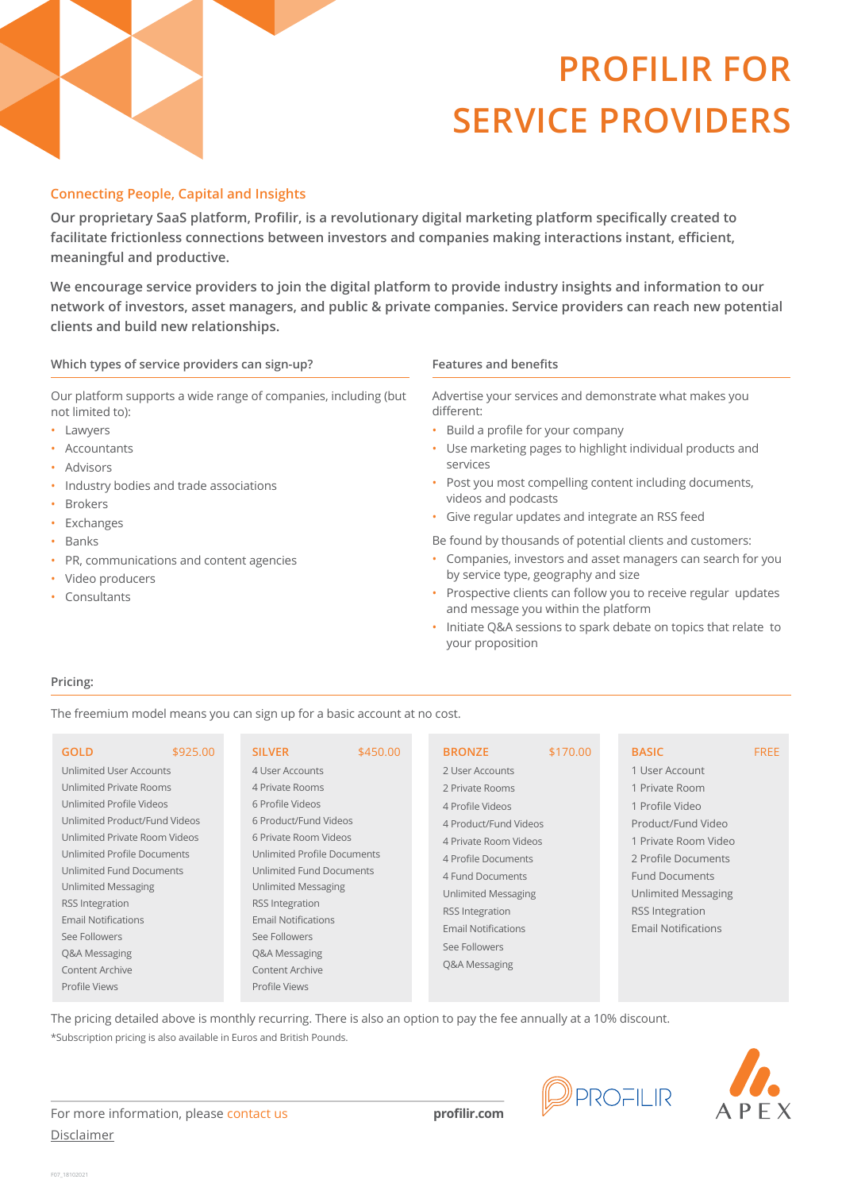## **Connecting People, Capital and Insights**

**Our proprietary SaaS platform, Profilir, is a revolutionary digital marketing platform specifically created to facilitate frictionless connections between investors and companies making interactions instant, efficient, meaningful and productive.**

**Features and benefits network of investors, asset managers, and public & private companies. Service providers can reach new potential We encourage service providers to join the digital platform to provide industry insights and information to our clients and build new relationships.**

### Which types of service providers can sign-up? **Features** and benefits

Our platform supports a wide range of companies, including (but not limited to):

- Lawyers
- Accountants
- Advisors
- Industry bodies and trade associations
- Brokers
- Exchanges
- Banks
- PR, communications and content agencies
- Video producers
- Consultants

Advertise your services and demonstrate what makes you different:

**PROFILIR FOR** 

**SERVICE PROVIDERS**

- Build a profile for your company
- Use marketing pages to highlight individual products and services
- Post you most compelling content including documents, videos and podcasts
- Give regular updates and integrate an RSS feed
- Be found by thousands of potential clients and customers:
- Companies, investors and asset managers can search for you by service type, geography and size
- Prospective clients can follow you to receive regular updates and message you within the platform
- Initiate Q&A sessions to spark debate on topics that relate to your proposition

#### **Pricing:**

The freemium model means you can sign up for a basic account at no cost.

| \$925.00<br><b>GOLD</b>        | <b>SILVER</b>               | \$450.00 | <b>BRONZE</b>                                                                                                                                                                                                                              | \$170.00 | <b>BASIC</b>                                                                                                                | <b>FREE</b> |
|--------------------------------|-----------------------------|----------|--------------------------------------------------------------------------------------------------------------------------------------------------------------------------------------------------------------------------------------------|----------|-----------------------------------------------------------------------------------------------------------------------------|-------------|
| Unlimited User Accounts        | 4 User Accounts             |          | 2 User Accounts                                                                                                                                                                                                                            |          | 1 User Account                                                                                                              |             |
| <b>Unlimited Private Rooms</b> | 4 Private Rooms             |          | 2 Private Rooms<br>4 Profile Videos<br>4 Product/Fund Videos<br>4 Private Room Videos<br>4 Profile Documents<br>4 Fund Documents<br>Unlimited Messaging<br>RSS Integration<br><b>Email Notifications</b><br>See Followers<br>Q&A Messaging |          | 1 Private Room                                                                                                              |             |
| Unlimited Profile Videos       | 6 Profile Videos            |          |                                                                                                                                                                                                                                            |          | 1 Profile Video                                                                                                             |             |
| Unlimited Product/Fund Videos  | 6 Product/Fund Videos       |          |                                                                                                                                                                                                                                            |          | Product/Fund Video                                                                                                          |             |
| Unlimited Private Room Videos  | 6 Private Room Videos       |          |                                                                                                                                                                                                                                            |          | 1 Private Room Video                                                                                                        |             |
| Unlimited Profile Documents    | Unlimited Profile Documents |          |                                                                                                                                                                                                                                            |          | 2 Profile Documents<br><b>Fund Documents</b><br>Unlimited Messaging<br><b>RSS</b> Integration<br><b>Email Notifications</b> |             |
| Unlimited Fund Documents       | Unlimited Fund Documents    |          |                                                                                                                                                                                                                                            |          |                                                                                                                             |             |
| Unlimited Messaging            | Unlimited Messaging         |          |                                                                                                                                                                                                                                            |          |                                                                                                                             |             |
| <b>RSS</b> Integration         | <b>RSS</b> Integration      |          |                                                                                                                                                                                                                                            |          |                                                                                                                             |             |
| <b>Email Notifications</b>     | <b>Email Notifications</b>  |          |                                                                                                                                                                                                                                            |          |                                                                                                                             |             |
| See Followers                  | See Followers               |          |                                                                                                                                                                                                                                            |          |                                                                                                                             |             |
| Q&A Messaging                  | Q&A Messaging               |          |                                                                                                                                                                                                                                            |          |                                                                                                                             |             |
| <b>Content Archive</b>         | <b>Content Archive</b>      |          |                                                                                                                                                                                                                                            |          |                                                                                                                             |             |
| Profile Views                  | Profile Views               |          |                                                                                                                                                                                                                                            |          |                                                                                                                             |             |

The pricing detailed above is monthly recurring. There is also an option to pay the fee annually at a 10% discount. \*Subscription pricing is also available in Euros and British Pounds.





For more information, please [contact us](https://www.profilir.com/contact.php) **[profilir.com](https://www.profilir.com/)** [Disclaimer](https://www.apexgroup.com/disclaimer/)